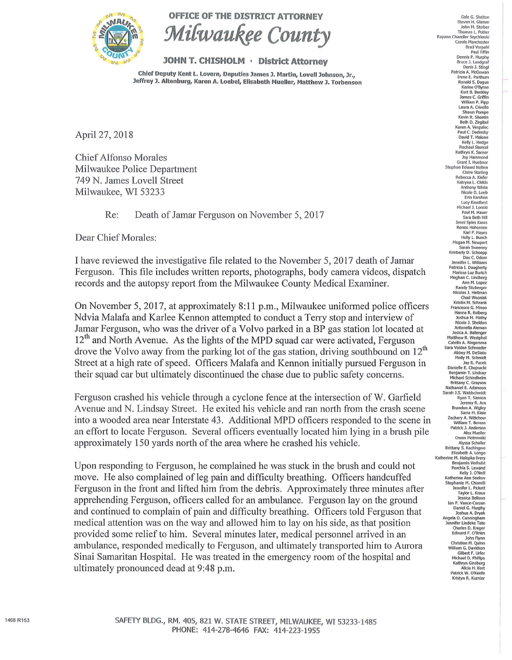

## OFFICE OF THE DISTRICT ATTORNEY



## JOHN T. CHISHOLM • District Attorney

Chief Deputy Kent L. Lovern, Deputies James J. Martin, Lovell Johnson, Jr., Jeffrey J. Altenburg, Karen A. Loebel, Elisabeth Mueller, Matthew J. Torbenson

April 27, 2018

Chief Alfonso Morales Milwaukee Police Department 749 N. James Lovell Street Milwaukee, WI 53233

Re: Death of Jamar Ferguson on November 5, 2017

Dear Chief Morales:

I have reviewed the investigative file related to the November 5, 2017 death of Jamar Ferguson. This file includes written reports, photographs, body camera videos, dispatch records and the autopsy report from the Milwaukee County Medical Examiner.

On November 5, 2017, at approximately 8:11 p.m., Milwaukee uniformed police officers Ndvia Malafa and Karlee Kennon attempted to conduct a Terry stop and interview of Jamar Ferguson, who was the driver of a Volvo parked in a BP gas station lot located at  $12<sup>th</sup>$  and North Avenue. As the lights of the MPD squad car were activated, Ferguson drove the Volvo away from the parking lot of the gas station, driving southbound on  $12<sup>th</sup>$ Street at a high rate of speed. Officers Malafa and Kennon initially pursued Ferguson in their squad car but ultimately discontinued the chase due to public safety concerns.

Ferguson crashed his vehicle through a cyclone fence at the intersection of W. Garfield Avenue and N. Lindsay Street. He exited his vehicle and ran north from the crash scene into a wooded area near Interstate 43 . Additional MPD officers responded to the scene in an effort to locate Ferguson. Several officers eventually located him lying in a brush pile approximately 150 yards north of the area where he crashed his vehicle.

Upon responding to Ferguson, he complained he was stuck in the brush and could not move. He also complained of leg pain and difficulty breathing. Officers handcuffed Ferguson in the front and lifted him from the debris. Approximately three minutes after apprehending Ferguson, officers called for an ambulance. Ferguson lay on the ground and continued to complain of pain and difficulty breathing. Officers told Ferguson that medical attention was on the way and allowed him to lay on his side, as that position provided some relief to him. Several minutes later, medical personnel arrived in an ambulance, responded medically to Ferguson, and ultimately transported him to Aurora Sinai Samaritan Hospital. He was treated in the emergency room of the hospital and ultimately pronounced dead at 9:48 p.m.

Gale G. Shelton Steven H. Glamm John M. Stoiber<br>Thomas L. Potter Thomas L. Potter Rayann Chandler Szych!inski Carole Manchester Brad Vorpahl<br>Paul Tiffin<br>Dennis P. Murphy Bruce J. Landgraf Denis J. Sting Patricia A. McGowan Irene E. Parthum Ronald s. Dague Karine O'Byme Kurt B. Benkley James C. Griffin William P. Pipp Laura A. Crivello Shawn Pompe Kevin R. Shomin Beth D. Zirgibel Karen A. Vespalec Paul C. Oedinsky David T. Malone Kelly L. Hedge Rachael Stencel Kathryn K. Samer Joy Hammond Grant I. Huebner Stephan Eduard Notten Claire Starting Rebecca A. Kiefer Katryna l. Childs Anthony White Nicole D. Loeb Erin Karshen Lucy Kronforst<br>Michael J. Lonski<br>Paul M. Hauer Sara Beth Hilt Jennl Spies Karas Renee Hohensee Karl P. Hayes<br>Holly L. Bunch Holly L. Bunch<br>Megan M. Newport<br>Sarah Sweeney Kimberly D. Schoepp OaxC. Odom Jennifer l. Williams Patricia I. Daugherty Marissa Luz Burtch<br>Meghan C. Lindberg<br>Ann M. Lopez Randy Sitzberger Nicolas J. Heitman<br>Chad Wozniak<br>Kristin M. Schrank Francesco G. Mineo Hanna R. Kolberg<br>Joshua M. Mathy Nicole J. Sheldon Antonella Aleman Jesica A. Ballenger Matthew R. Westphal Catelin A. Ringersma Sara Volden Schroeder<br>Abbey M. DeSiato Molly M. Schmidt Jay R. Pucek Danielle E. Chojnacki Benjamin T. Lindsay Michael Schindhelm Brittany C. Grayson Nathaniel E. Adamson Sarah J.S. Waldschmidt Ryan T. Sanson Jeremy R. Arn Brandon A. Wigley Sarra M. Kiaie Zachary A. Wittchow William T. Berens Patrick J. Anderson<br>Alex Mueller Alex Mueller<br>Owen Piotrowski Alyssa Schaller Brittany S. Kachingwe<br>Elizabeth A. Longo<br>Katherine M. Halopka-Ivery Benjamin Verhulst Porchia S. lewand Kelly J. O'Neill Katherine Ann Seelow tephanie M. Chiarelli Jennifer L. Pickett Taylor L. Kraus Jessica Bellows Ian F. Vance-Curzan<br>Daniel G. Murphy Joshua A. Oryak Angela D. Cunningham Jennifer Undeke Tate Charles D. Kreger Edward F. O'Brien John Flynn<br>Christine M. Quinn William G. Davidson Gilbert F. Urfer<br>Michael D. Phillips Kathryn Ginsberg Alicia H. Kart Patrick W. O'Keefe Kristyn R. Kuzniar